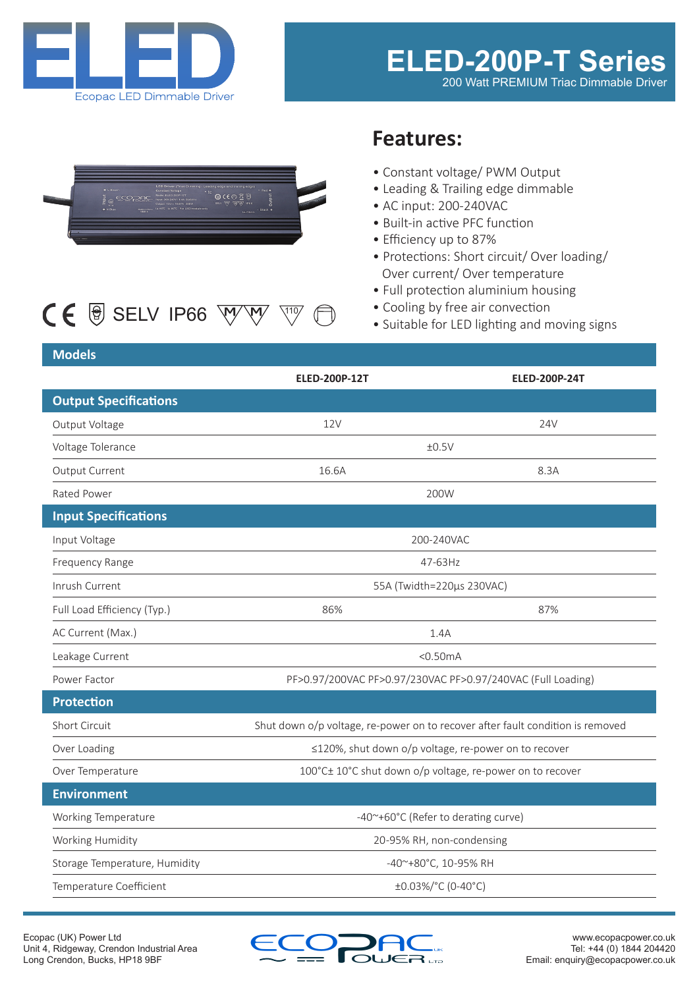



# $CE$   $\circledast$  SELV IP66  $\overline{W}$  $\overline{W}$   $\overline{W}$

## **Features:**

- Constant voltage/ PWM Output
- Leading & Trailing edge dimmable
- AC input: 200-240VAC
- Built-in active PFC function
- Efficiency up to 87%
- Protections: Short circuit/ Over loading/ Over current/ Over temperature
- Full protection aluminium housing
- Cooling by free air convection
- Suitable for LED lighting and moving signs

#### **Models**

|                               | <b>ELED-200P-12T</b>                                                           | <b>ELED-200P-24T</b> |
|-------------------------------|--------------------------------------------------------------------------------|----------------------|
| <b>Output Specifications</b>  |                                                                                |                      |
| Output Voltage                | 12V                                                                            | 24V                  |
| Voltage Tolerance             | ±0.5V                                                                          |                      |
| Output Current                | 16.6A                                                                          | 8.3A                 |
| Rated Power                   | 200W                                                                           |                      |
| <b>Input Specifications</b>   |                                                                                |                      |
| Input Voltage                 | 200-240VAC                                                                     |                      |
| Frequency Range               | 47-63Hz                                                                        |                      |
| Inrush Current                | 55A (Twidth=220µs 230VAC)                                                      |                      |
| Full Load Efficiency (Typ.)   | 86%                                                                            | 87%                  |
| AC Current (Max.)             | 1.4A                                                                           |                      |
| Leakage Current               | $<$ 0.50 $mA$                                                                  |                      |
| Power Factor                  | PF>0.97/200VAC PF>0.97/230VAC PF>0.97/240VAC (Full Loading)                    |                      |
| <b>Protection</b>             |                                                                                |                      |
| Short Circuit                 | Shut down o/p voltage, re-power on to recover after fault condition is removed |                      |
| Over Loading                  | ≤120%, shut down o/p voltage, re-power on to recover                           |                      |
| Over Temperature              | 100°C± 10°C shut down o/p voltage, re-power on to recover                      |                      |
| <b>Environment</b>            |                                                                                |                      |
| Working Temperature           | -40~+60°C (Refer to derating curve)                                            |                      |
| Working Humidity              | 20-95% RH, non-condensing                                                      |                      |
| Storage Temperature, Humidity | -40~+80°C, 10-95% RH                                                           |                      |
| Temperature Coefficient       | ±0.03%/°C (0-40°C)                                                             |                      |

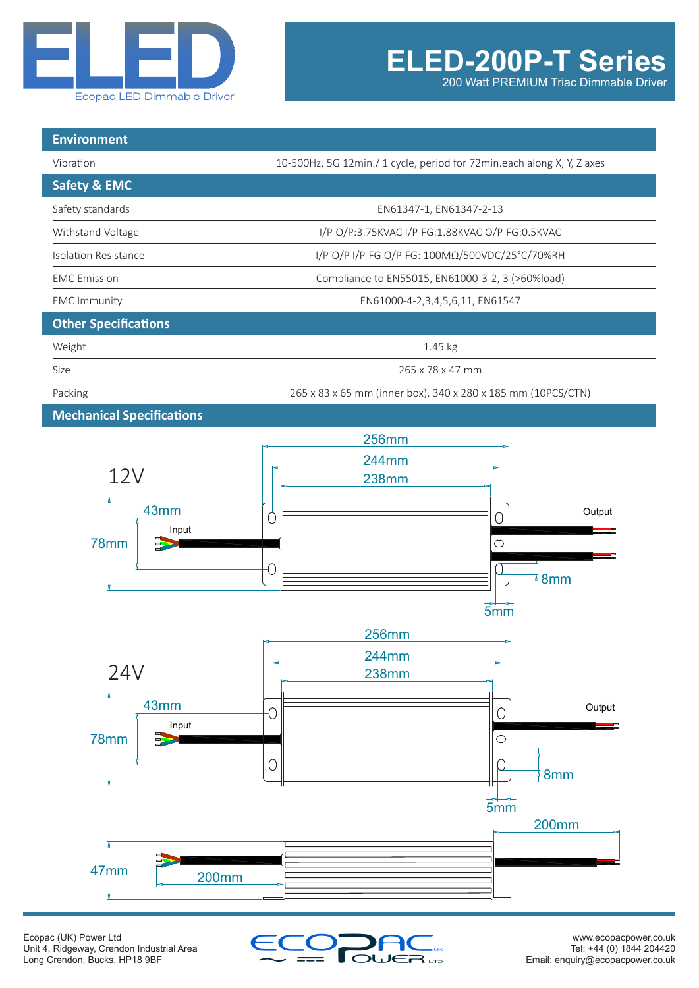

200 Watt PREMIUM Triac Dimmable Driver

| <b>Environment</b>               |                                                                        |  |
|----------------------------------|------------------------------------------------------------------------|--|
| Vibration                        | 10-500Hz, 5G 12min./ 1 cycle, period for 72min.each along X, Y, Z axes |  |
| <b>Safety &amp; EMC</b>          |                                                                        |  |
| Safety standards                 | EN61347-1, EN61347-2-13                                                |  |
| Withstand Voltage                | I/P-O/P:3.75KVAC I/P-FG:1.88KVAC O/P-FG:0.5KVAC                        |  |
| Isolation Resistance             | I/P-O/P I/P-FG O/P-FG: 100MΩ/500VDC/25°C/70%RH                         |  |
| <b>EMC</b> Emission              | Compliance to EN55015, EN61000-3-2, 3 (>60%load)                       |  |
| <b>EMC</b> Immunity              | EN61000-4-2,3,4,5,6,11, EN61547                                        |  |
| <b>Other Specifications</b>      |                                                                        |  |
| Weight                           | $1.45$ kg                                                              |  |
| Size                             | 265 x 78 x 47 mm                                                       |  |
| Packing                          | 265 x 83 x 65 mm (inner box), 340 x 280 x 185 mm (10PCS/CTN)           |  |
| <b>Mechanical Specifications</b> |                                                                        |  |







Output

<u>e e</u>

**Output**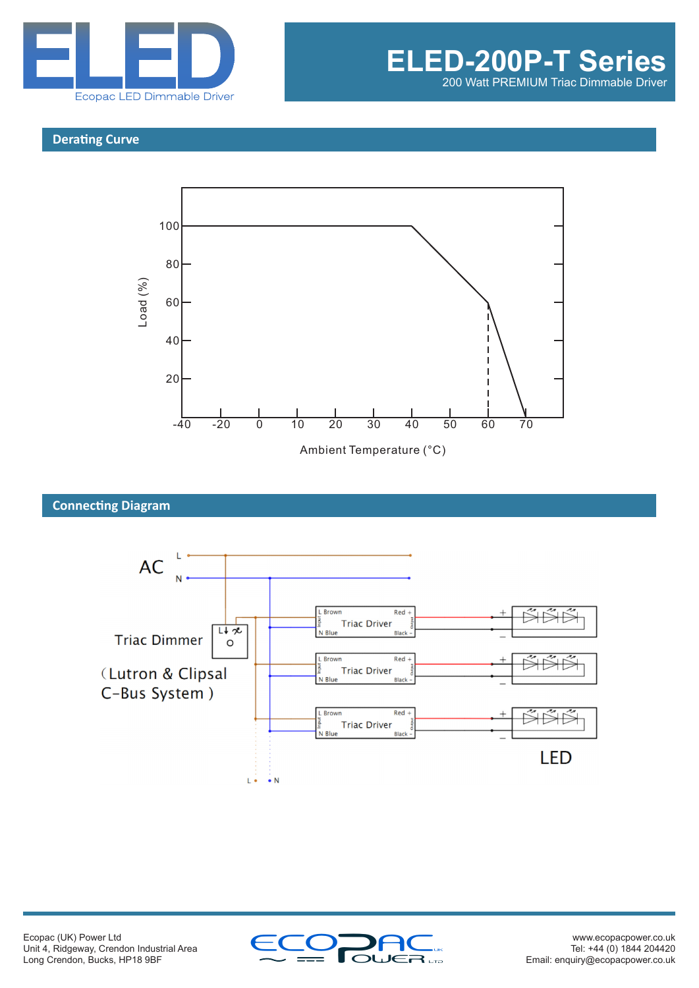

#### **Derating Curve**



### Ambient Temperature (°C)

#### **Connecting Diagram**